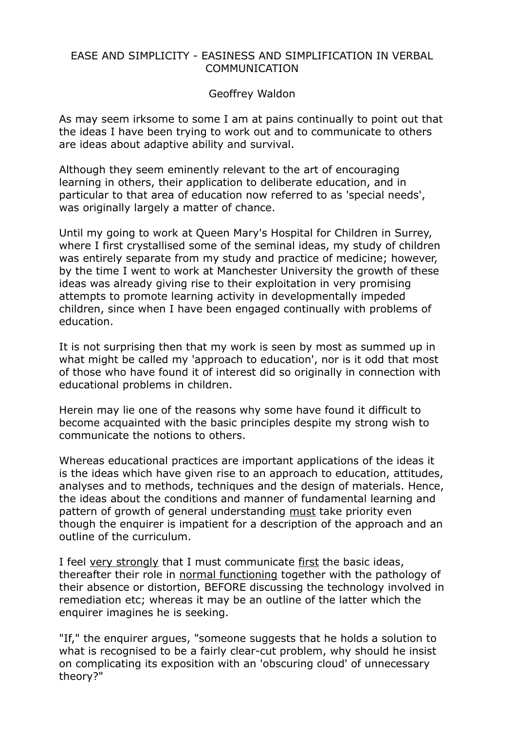## EASE AND SIMPLICITY - EASINESS AND SIMPLIFICATION IN VERBAL COMMUNICATION

## Geoffrey Waldon

As may seem irksome to some I am at pains continually to point out that the ideas I have been trying to work out and to communicate to others are ideas about adaptive ability and survival.

Although they seem eminently relevant to the art of encouraging learning in others, their application to deliberate education, and in particular to that area of education now referred to as 'special needs', was originally largely a matter of chance.

Until my going to work at Queen Mary's Hospital for Children in Surrey, where I first crystallised some of the seminal ideas, my study of children was entirely separate from my study and practice of medicine; however, by the time I went to work at Manchester University the growth of these ideas was already giving rise to their exploitation in very promising attempts to promote learning activity in developmentally impeded children, since when I have been engaged continually with problems of education.

It is not surprising then that my work is seen by most as summed up in what might be called my 'approach to education', nor is it odd that most of those who have found it of interest did so originally in connection with educational problems in children.

Herein may lie one of the reasons why some have found it difficult to become acquainted with the basic principles despite my strong wish to communicate the notions to others.

Whereas educational practices are important applications of the ideas it is the ideas which have given rise to an approach to education, attitudes, analyses and to methods, techniques and the design of materials. Hence, the ideas about the conditions and manner of fundamental learning and pattern of growth of general understanding must take priority even though the enquirer is impatient for a description of the approach and an outline of the curriculum.

I feel very strongly that I must communicate first the basic ideas, thereafter their role in normal functioning together with the pathology of their absence or distortion, BEFORE discussing the technology involved in remediation etc; whereas it may be an outline of the latter which the enquirer imagines he is seeking.

"If," the enquirer argues, "someone suggests that he holds a solution to what is recognised to be a fairly clear-cut problem, why should he insist on complicating its exposition with an 'obscuring cloud' of unnecessary theory?"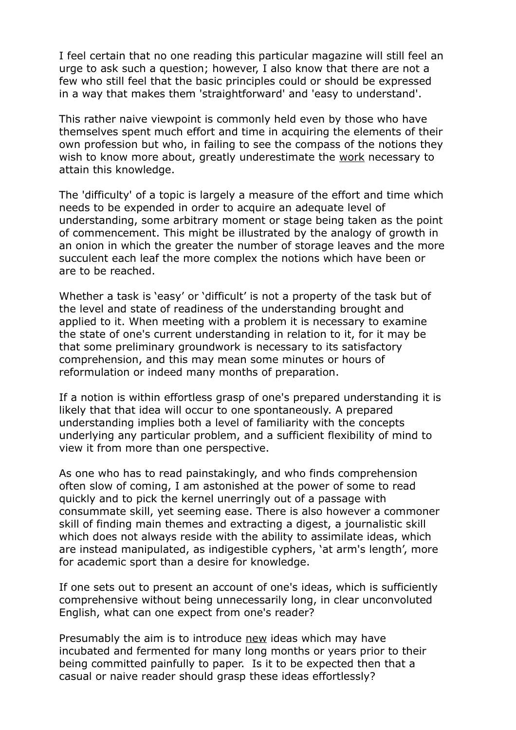I feel certain that no one reading this particular magazine will still feel an urge to ask such a question; however, I also know that there are not a few who still feel that the basic principles could or should be expressed in a way that makes them 'straightforward' and 'easy to understand'.

This rather naive viewpoint is commonly held even by those who have themselves spent much effort and time in acquiring the elements of their own profession but who, in failing to see the compass of the notions they wish to know more about, greatly underestimate the work necessary to attain this knowledge.

The 'difficulty' of a topic is largely a measure of the effort and time which needs to be expended in order to acquire an adequate level of understanding, some arbitrary moment or stage being taken as the point of commencement. This might be illustrated by the analogy of growth in an onion in which the greater the number of storage leaves and the more succulent each leaf the more complex the notions which have been or are to be reached.

Whether a task is 'easy' or 'difficult' is not a property of the task but of the level and state of readiness of the understanding brought and applied to it. When meeting with a problem it is necessary to examine the state of one's current understanding in relation to it, for it may be that some preliminary groundwork is necessary to its satisfactory comprehension, and this may mean some minutes or hours of reformulation or indeed many months of preparation.

If a notion is within effortless grasp of one's prepared understanding it is likely that that idea will occur to one spontaneously. A prepared understanding implies both a level of familiarity with the concepts underlying any particular problem, and a sufficient flexibility of mind to view it from more than one perspective.

As one who has to read painstakingly, and who finds comprehension often slow of coming, I am astonished at the power of some to read quickly and to pick the kernel unerringly out of a passage with consummate skill, yet seeming ease. There is also however a commoner skill of finding main themes and extracting a digest, a journalistic skill which does not always reside with the ability to assimilate ideas, which are instead manipulated, as indigestible cyphers, 'at arm's length', more for academic sport than a desire for knowledge.

If one sets out to present an account of one's ideas, which is sufficiently comprehensive without being unnecessarily long, in clear unconvoluted English, what can one expect from one's reader?

Presumably the aim is to introduce new ideas which may have incubated and fermented for many long months or years prior to their being committed painfully to paper. Is it to be expected then that a casual or naive reader should grasp these ideas effortlessly?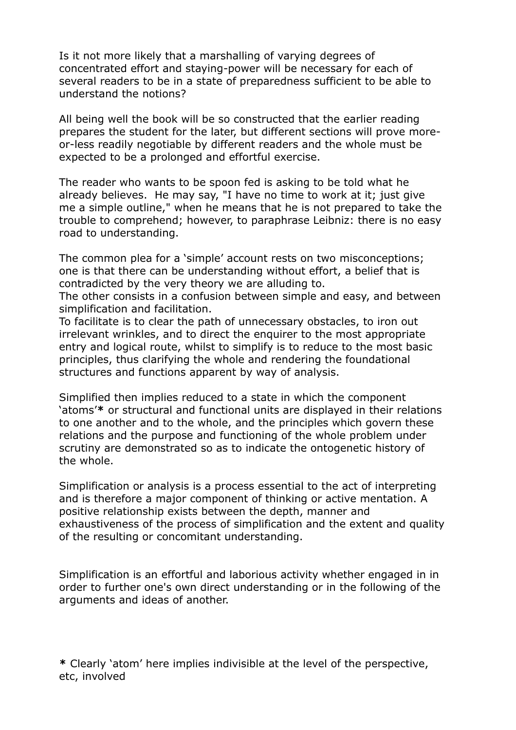Is it not more likely that a marshalling of varying degrees of concentrated effort and staying-power will be necessary for each of several readers to be in a state of preparedness sufficient to be able to understand the notions?

All being well the book will be so constructed that the earlier reading prepares the student for the later, but different sections will prove moreor-less readily negotiable by different readers and the whole must be expected to be a prolonged and effortful exercise.

The reader who wants to be spoon fed is asking to be told what he already believes. He may say, "I have no time to work at it; just give me a simple outline," when he means that he is not prepared to take the trouble to comprehend; however, to paraphrase Leibniz: there is no easy road to understanding.

The common plea for a 'simple' account rests on two misconceptions; one is that there can be understanding without effort, a belief that is contradicted by the very theory we are alluding to.

The other consists in a confusion between simple and easy, and between simplification and facilitation.

To facilitate is to clear the path of unnecessary obstacles, to iron out irrelevant wrinkles, and to direct the enquirer to the most appropriate entry and logical route, whilst to simplify is to reduce to the most basic principles, thus clarifying the whole and rendering the foundational structures and functions apparent by way of analysis.

Simplified then implies reduced to a state in which the component 'atoms'**\*** or structural and functional units are displayed in their relations to one another and to the whole, and the principles which govern these relations and the purpose and functioning of the whole problem under scrutiny are demonstrated so as to indicate the ontogenetic history of the whole.

Simplification or analysis is a process essential to the act of interpreting and is therefore a major component of thinking or active mentation. A positive relationship exists between the depth, manner and exhaustiveness of the process of simplification and the extent and quality of the resulting or concomitant understanding.

Simplification is an effortful and laborious activity whether engaged in in order to further one's own direct understanding or in the following of the arguments and ideas of another.

**\*** Clearly 'atom' here implies indivisible at the level of the perspective, etc, involved